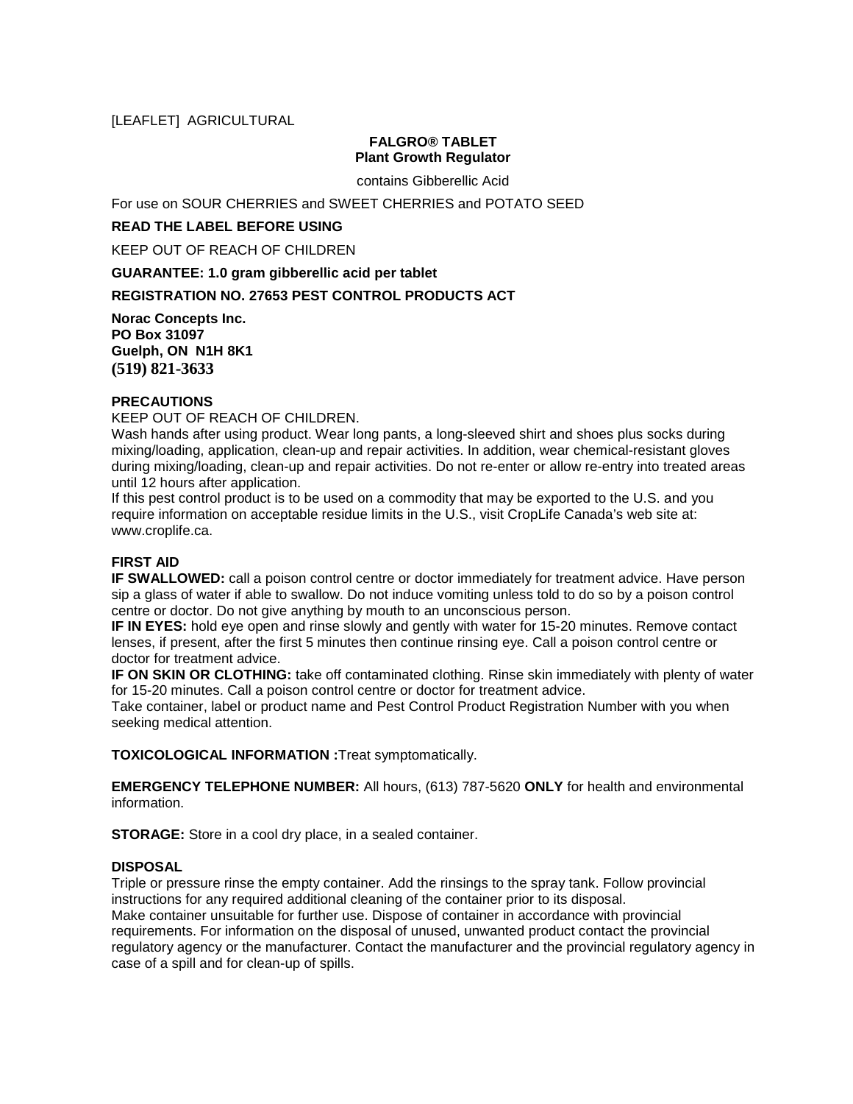# [LEAFLET] AGRICULTURAL

## **FALGRO® TABLET Plant Growth Regulator**

contains Gibberellic Acid

For use on SOUR CHERRIES and SWEET CHERRIES and POTATO SEED

### **READ THE LABEL BEFORE USING**

KEEP OUT OF REACH OF CHILDREN

**GUARANTEE: 1.0 gram gibberellic acid per tablet**

# **REGISTRATION NO. 27653 PEST CONTROL PRODUCTS ACT**

**Norac Concepts Inc. PO Box 31097 Guelph, ON N1H 8K1 (519) 821-3633**

## **PRECAUTIONS**

KEEP OUT OF REACH OF CHILDREN.

Wash hands after using product. Wear long pants, a long-sleeved shirt and shoes plus socks during mixing/loading, application, clean-up and repair activities. In addition, wear chemical-resistant gloves during mixing/loading, clean-up and repair activities. Do not re-enter or allow re-entry into treated areas until 12 hours after application.

If this pest control product is to be used on a commodity that may be exported to the U.S. and you require information on acceptable residue limits in the U.S., visit CropLife Canada's web site at: www.croplife.ca.

## **FIRST AID**

**IF SWALLOWED:** call a poison control centre or doctor immediately for treatment advice. Have person sip a glass of water if able to swallow. Do not induce vomiting unless told to do so by a poison control centre or doctor. Do not give anything by mouth to an unconscious person.

**IF IN EYES:** hold eye open and rinse slowly and gently with water for 15-20 minutes. Remove contact lenses, if present, after the first 5 minutes then continue rinsing eye. Call a poison control centre or doctor for treatment advice.

**IF ON SKIN OR CLOTHING:** take off contaminated clothing. Rinse skin immediately with plenty of water for 15-20 minutes. Call a poison control centre or doctor for treatment advice.

Take container, label or product name and Pest Control Product Registration Number with you when seeking medical attention.

**TOXICOLOGICAL INFORMATION :**Treat symptomatically.

**EMERGENCY TELEPHONE NUMBER:** All hours, (613) 787-5620 **ONLY** for health and environmental information.

**STORAGE:** Store in a cool dry place, in a sealed container.

# **DISPOSAL**

Triple or pressure rinse the empty container. Add the rinsings to the spray tank. Follow provincial instructions for any required additional cleaning of the container prior to its disposal. Make container unsuitable for further use. Dispose of container in accordance with provincial requirements. For information on the disposal of unused, unwanted product contact the provincial regulatory agency or the manufacturer. Contact the manufacturer and the provincial regulatory agency in case of a spill and for clean-up of spills.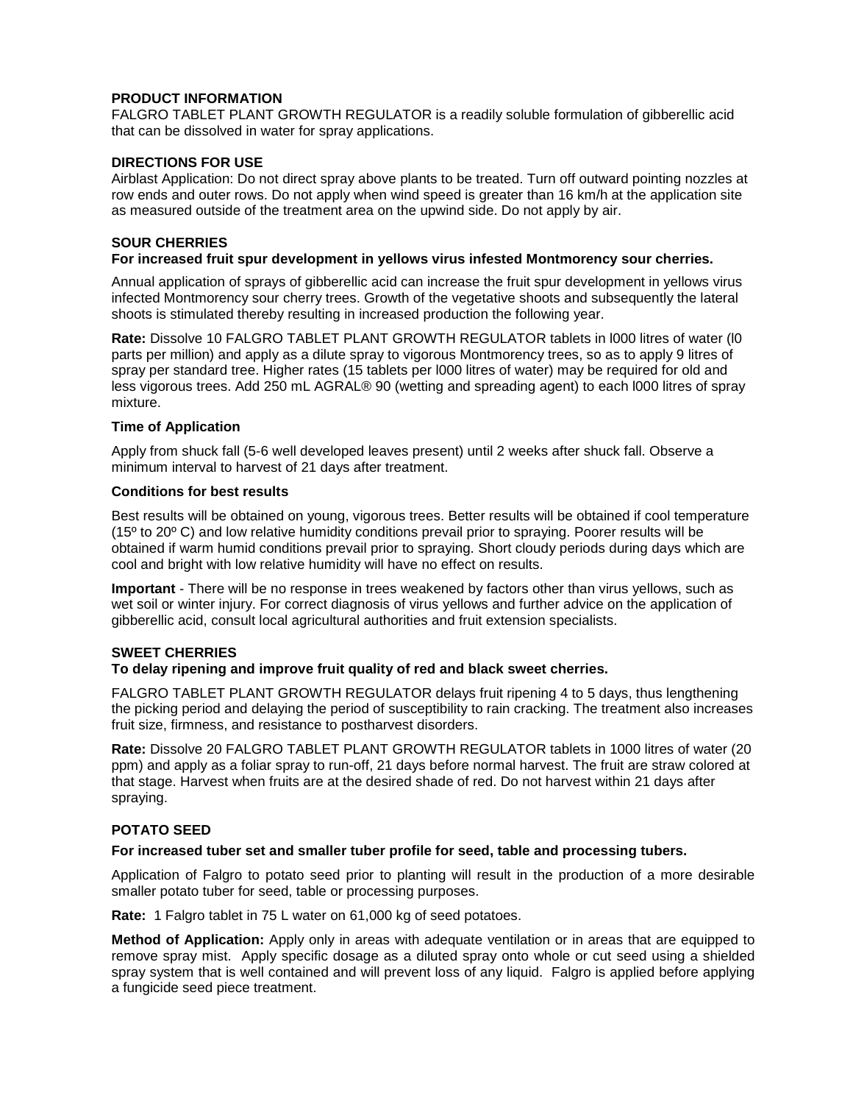# **PRODUCT INFORMATION**

FALGRO TABLET PLANT GROWTH REGULATOR is a readily soluble formulation of gibberellic acid that can be dissolved in water for spray applications.

## **DIRECTIONS FOR USE**

Airblast Application: Do not direct spray above plants to be treated. Turn off outward pointing nozzles at row ends and outer rows. Do not apply when wind speed is greater than 16 km/h at the application site as measured outside of the treatment area on the upwind side. Do not apply by air.

## **SOUR CHERRIES**

#### **For increased fruit spur development in yellows virus infested Montmorency sour cherries.**

Annual application of sprays of gibberellic acid can increase the fruit spur development in yellows virus infected Montmorency sour cherry trees. Growth of the vegetative shoots and subsequently the lateral shoots is stimulated thereby resulting in increased production the following year.

**Rate:** Dissolve 10 FALGRO TABLET PLANT GROWTH REGULATOR tablets in l000 litres of water (l0 parts per million) and apply as a dilute spray to vigorous Montmorency trees, so as to apply 9 litres of spray per standard tree. Higher rates (15 tablets per l000 litres of water) may be required for old and less vigorous trees. Add 250 mL AGRAL® 90 (wetting and spreading agent) to each l000 litres of spray mixture.

### **Time of Application**

Apply from shuck fall (5-6 well developed leaves present) until 2 weeks after shuck fall. Observe a minimum interval to harvest of 21 days after treatment.

### **Conditions for best results**

Best results will be obtained on young, vigorous trees. Better results will be obtained if cool temperature (15º to 20º C) and low relative humidity conditions prevail prior to spraying. Poorer results will be obtained if warm humid conditions prevail prior to spraying. Short cloudy periods during days which are cool and bright with low relative humidity will have no effect on results.

**Important** - There will be no response in trees weakened by factors other than virus yellows, such as wet soil or winter injury. For correct diagnosis of virus yellows and further advice on the application of gibberellic acid, consult local agricultural authorities and fruit extension specialists.

## **SWEET CHERRIES**

#### **To delay ripening and improve fruit quality of red and black sweet cherries.**

FALGRO TABLET PLANT GROWTH REGULATOR delays fruit ripening 4 to 5 days, thus lengthening the picking period and delaying the period of susceptibility to rain cracking. The treatment also increases fruit size, firmness, and resistance to postharvest disorders.

**Rate:** Dissolve 20 FALGRO TABLET PLANT GROWTH REGULATOR tablets in 1000 litres of water (20 ppm) and apply as a foliar spray to run-off, 21 days before normal harvest. The fruit are straw colored at that stage. Harvest when fruits are at the desired shade of red. Do not harvest within 21 days after spraying.

# **POTATO SEED**

### **For increased tuber set and smaller tuber profile for seed, table and processing tubers.**

Application of Falgro to potato seed prior to planting will result in the production of a more desirable smaller potato tuber for seed, table or processing purposes.

**Rate:** 1 Falgro tablet in 75 L water on 61,000 kg of seed potatoes.

**Method of Application:** Apply only in areas with adequate ventilation or in areas that are equipped to remove spray mist. Apply specific dosage as a diluted spray onto whole or cut seed using a shielded spray system that is well contained and will prevent loss of any liquid. Falgro is applied before applying a fungicide seed piece treatment.